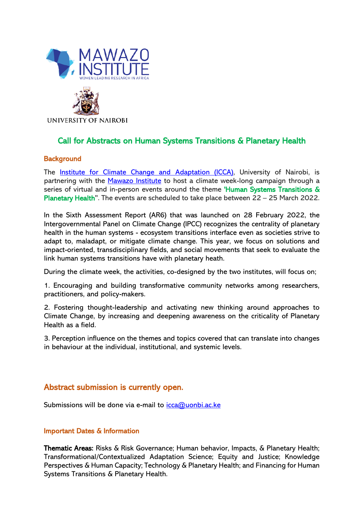



**UNIVERSITY OF NAIROBI** 

# Call for Abstracts on Human Systems Transitions & Planetary Health

#### **Background**

The **Institute for Climate Change and Adaptation (ICCA)**, University of Nairobi, is partnering with the [Mawazo Institute](https://mawazoinstitute.org/) to host a climate week-long campaign through a series of virtual and in-person events around the theme 'Human Systems Transitions & Planetary Health''. The events are scheduled to take place between 22 – 25 March 2022.

In the Sixth Assessment Report (AR6) that was launched on 28 February 2022, the Intergovernmental Panel on Climate Change (IPCC) recognizes the centrality of planetary health in the human systems - ecosystem transitions interface even as societies strive to adapt to, maladapt, or mitigate climate change. This year, we focus on solutions and impact-oriented, transdisciplinary fields, and social movements that seek to evaluate the link human systems transitions have with planetary heath.

During the climate week, the activities, co-designed by the two institutes, will focus on;

1. Encouraging and building transformative community networks among researchers, practitioners, and policy-makers.

2. Fostering thought-leadership and activating new thinking around approaches to Climate Change, by increasing and deepening awareness on the criticality of Planetary Health as a field.

3. Perception influence on the themes and topics covered that can translate into changes in behaviour at the individual, institutional, and systemic levels.

### Abstract submission is currently open.

Submissions will be done via e-mail to  $icca@uonbi.acke$ 

#### Important Dates & Information

Thematic Areas: Risks & Risk Governance; Human behavior, Impacts, & Planetary Health; Transformational/Contextualized Adaptation Science; Equity and Justice; Knowledge Perspectives & Human Capacity; Technology & Planetary Health; and Financing for Human Systems Transitions & Planetary Health.